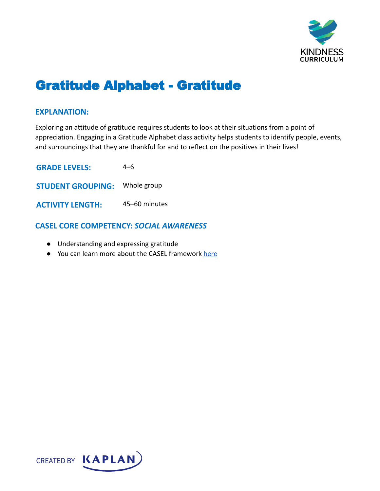

# Gratitude Alphabet - Gratitude

#### **EXPLANATION:**

Exploring an attitude of gratitude requires students to look at their situations from a point of appreciation. Engaging in a Gratitude Alphabet class activity helps students to identify people, events, and surroundings that they are thankful for and to reflect on the positives in their lives!

**GRADE LEVELS:** 4–6 **STUDENT GROUPING:** Whole group **ACTIVITY LENGTH:** 45–60 minutes

## **CASEL CORE COMPETENCY:** *SOCIAL AWARENESS*

- Understanding and expressing gratitude
- You can learn more about the CASEL framework [here](https://casel.org/sel-framework/)